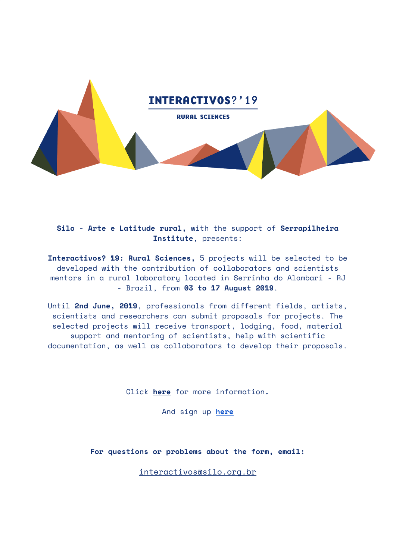

**Silo - Arte e Latitude rural,** with the support of **Serrapilheira Institute**, presents:

**Interactivos? 19: Rural Sciences,** 5 projects will be selected to be developed with the contribution of collaborators and scientists mentors in a rural laboratory located in Serrinha do Alambari - RJ - Brazil, from **03 to 17 August 2019**.

Until **2nd June, 2019**, professionals from different fields, artists, scientists and researchers can submit proposals for projects. The selected projects will receive transport, lodging, food, material support and mentoring of scientists, help with scientific documentation, as well as collaborators to develop their proposals.

Click **here** for more information**.**

And sign up **[here](https://forms.gle/ZXiwYFkuPFkz3HV77)**

**For questions or problems about the form, email:**

interactivos@silo.org.br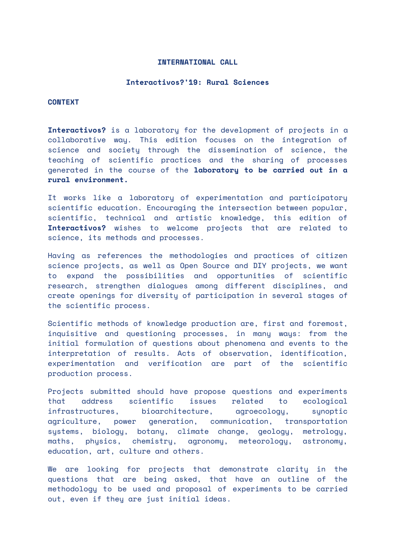## **INTERNATIONAL CALL**

#### **Interactivos?'19: Rural Sciences**

#### **CONTEXT**

**Interactivos?** is a laboratory for the development of projects in a collaborative way. This edition focuses on the integration of science and society through the dissemination of science, the teaching of scientific practices and the sharing of processes generated in the course of the **laboratory to be carried out in a rural environment.**

It works like a laboratory of experimentation and participatory scientific education. Encouraging the intersection between popular, scientific, technical and artistic knowledge, this edition of **Interactivos?** wishes to welcome projects that are related to science, its methods and processes.

Having as references the methodologies and practices of citizen science projects, as well as Open Source and DIY projects, we want to expand the possibilities and opportunities of scientific research, strengthen dialogues among different disciplines, and create openings for diversity of participation in several stages of the scientific process.

Scientific methods of knowledge production are, first and foremost, inquisitive and questioning processes, in many ways: from the initial formulation of questions about phenomena and events to the interpretation of results. Acts of observation, identification, experimentation and verification are part of the scientific production process.

Projects submitted should have propose questions and experiments that address scientific issues related to ecological infrastructures, bioarchitecture, agroecology, synoptic agriculture, power generation, communication, transportation systems, biology, botany, climate change, geology, metrology, maths, physics, chemistry, agronomy, meteorology, astronomy, education, art, culture and others.

We are looking for projects that demonstrate clarity in the questions that are being asked, that have an outline of the methodology to be used and proposal of experiments to be carried out, even if they are just initial ideas.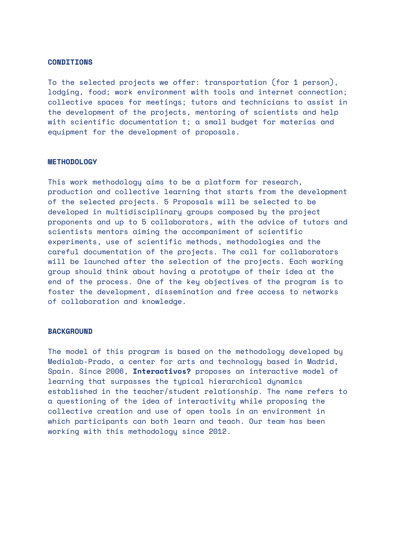### **CONDITIONS**

To the selected projects we offer: transportation (for 1 person), lodging, food; work environment with tools and internet connection; collective spaces for meetings; tutors and technicians to assist in the development of the projects, mentoring of scientists and help with scientific documentation t; a small budget for materias and equipment for the development of proposals.

#### **METHODOLOGY**

This work methodology aims to be a platform for research, production and collective learning that starts from the development of the selected projects. 5 Proposals will be selected to be developed in multidisciplinary groups composed by the project proponents and up to 5 collaborators, with the advice of tutors and scientists mentors aiming the accompaniment of scientific experiments, use of scientific methods, methodologies and the careful documentation of the projects. The call for collaborators will be launched after the selection of the projects. Each working group should think about having a prototype of their idea at the end of the process. One of the key objectives of the program is to foster the development, dissemination and free access to networks of collaboration and knowledge.

## **BACKGROUND**

The model of this program is based on the methodology developed by Medialab-Prado, a center for arts and technology based in Madrid, Spain. Since 2006, **Interactivos?** proposes an interactive model of learning that surpasses the typical hierarchical dynamics established in the teacher/student relationship. The name refers to a questioning of the idea of interactivity while proposing the collective creation and use of open tools in an environment in which participants can both learn and teach. Our team has been working with this methodology since 2012.